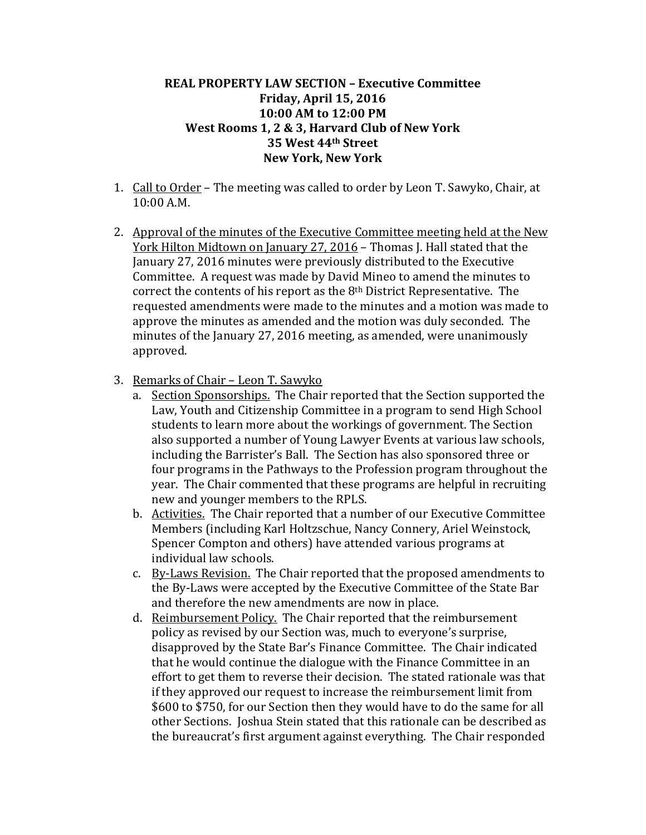## **REAL PROPERTY LAW SECTION – Executive Committee Friday, April 15, 2016 10:00 AM to 12:00 PM West Rooms 1, 2 & 3, Harvard Club of New York 35 West 44th Street New York, New York**

- 1. Call to Order The meeting was called to order by Leon T. Sawyko, Chair, at 10:00 A.M.
- 2. Approval of the minutes of the Executive Committee meeting held at the New York Hilton Midtown on January 27, 2016 – Thomas J. Hall stated that the January 27, 2016 minutes were previously distributed to the Executive Committee. A request was made by David Mineo to amend the minutes to correct the contents of his report as the 8th District Representative. The requested amendments were made to the minutes and a motion was made to approve the minutes as amended and the motion was duly seconded. The minutes of the January 27, 2016 meeting, as amended, were unanimously approved.
- 3. Remarks of Chair Leon T. Sawyko
	- a. Section Sponsorships. The Chair reported that the Section supported the Law, Youth and Citizenship Committee in a program to send High School students to learn more about the workings of government. The Section also supported a number of Young Lawyer Events at various law schools, including the Barrister's Ball. The Section has also sponsored three or four programs in the Pathways to the Profession program throughout the year. The Chair commented that these programs are helpful in recruiting new and younger members to the RPLS.
	- b. Activities. The Chair reported that a number of our Executive Committee Members (including Karl Holtzschue, Nancy Connery, Ariel Weinstock, Spencer Compton and others) have attended various programs at individual law schools.
	- c. By-Laws Revision. The Chair reported that the proposed amendments to the By-Laws were accepted by the Executive Committee of the State Bar and therefore the new amendments are now in place.
	- d. Reimbursement Policy. The Chair reported that the reimbursement policy as revised by our Section was, much to everyone's surprise, disapproved by the State Bar's Finance Committee. The Chair indicated that he would continue the dialogue with the Finance Committee in an effort to get them to reverse their decision. The stated rationale was that if they approved our request to increase the reimbursement limit from \$600 to \$750, for our Section then they would have to do the same for all other Sections. Joshua Stein stated that this rationale can be described as the bureaucrat's first argument against everything. The Chair responded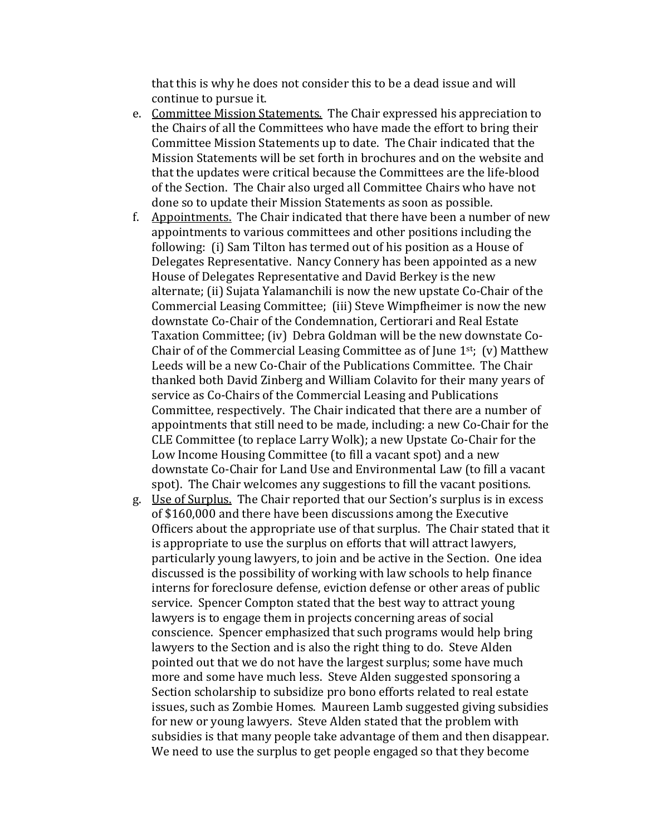that this is why he does not consider this to be a dead issue and will continue to pursue it.

- e. Committee Mission Statements. The Chair expressed his appreciation to the Chairs of all the Committees who have made the effort to bring their Committee Mission Statements up to date. The Chair indicated that the Mission Statements will be set forth in brochures and on the website and that the updates were critical because the Committees are the life-blood of the Section. The Chair also urged all Committee Chairs who have not done so to update their Mission Statements as soon as possible.
- f. Appointments. The Chair indicated that there have been a number of new appointments to various committees and other positions including the following: (i) Sam Tilton has termed out of his position as a House of Delegates Representative. Nancy Connery has been appointed as a new House of Delegates Representative and David Berkey is the new alternate; (ii) Sujata Yalamanchili is now the new upstate Co-Chair of the Commercial Leasing Committee; (iii) Steve Wimpfheimer is now the new downstate Co-Chair of the Condemnation, Certiorari and Real Estate Taxation Committee; (iv) Debra Goldman will be the new downstate Co-Chair of of the Commercial Leasing Committee as of June  $1<sup>st</sup>$ ; (v) Matthew Leeds will be a new Co-Chair of the Publications Committee. The Chair thanked both David Zinberg and William Colavito for their many years of service as Co-Chairs of the Commercial Leasing and Publications Committee, respectively. The Chair indicated that there are a number of appointments that still need to be made, including: a new Co-Chair for the CLE Committee (to replace Larry Wolk); a new Upstate Co-Chair for the Low Income Housing Committee (to fill a vacant spot) and a new downstate Co-Chair for Land Use and Environmental Law (to fill a vacant spot). The Chair welcomes any suggestions to fill the vacant positions.
- g. Use of Surplus. The Chair reported that our Section's surplus is in excess of \$160,000 and there have been discussions among the Executive Officers about the appropriate use of that surplus. The Chair stated that it is appropriate to use the surplus on efforts that will attract lawyers, particularly young lawyers, to join and be active in the Section. One idea discussed is the possibility of working with law schools to help finance interns for foreclosure defense, eviction defense or other areas of public service. Spencer Compton stated that the best way to attract young lawyers is to engage them in projects concerning areas of social conscience. Spencer emphasized that such programs would help bring lawyers to the Section and is also the right thing to do. Steve Alden pointed out that we do not have the largest surplus; some have much more and some have much less. Steve Alden suggested sponsoring a Section scholarship to subsidize pro bono efforts related to real estate issues, such as Zombie Homes. Maureen Lamb suggested giving subsidies for new or young lawyers. Steve Alden stated that the problem with subsidies is that many people take advantage of them and then disappear. We need to use the surplus to get people engaged so that they become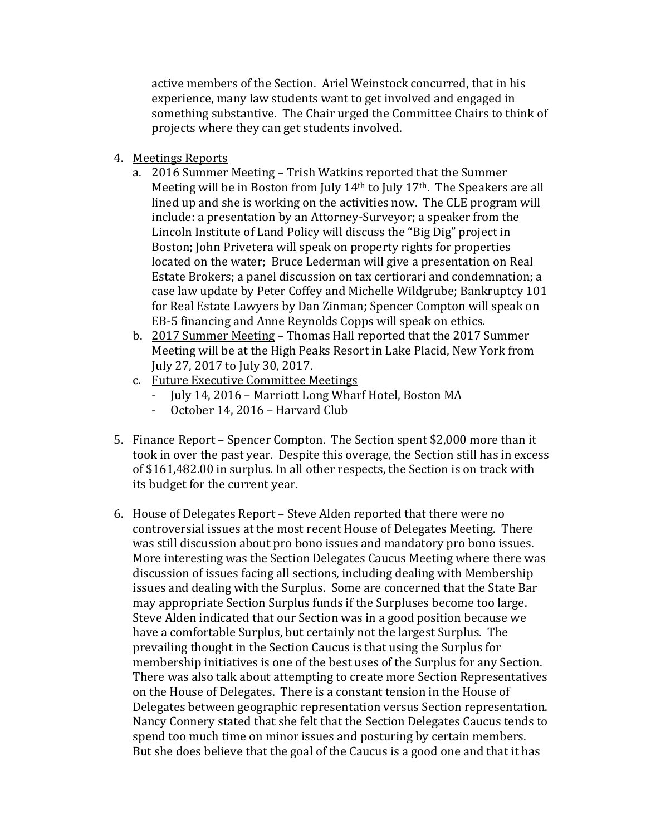active members of the Section. Ariel Weinstock concurred, that in his experience, many law students want to get involved and engaged in something substantive. The Chair urged the Committee Chairs to think of projects where they can get students involved.

- 4. Meetings Reports
	- a. 2016 Summer Meeting Trish Watkins reported that the Summer Meeting will be in Boston from July 14<sup>th</sup> to July 17<sup>th</sup>. The Speakers are all lined up and she is working on the activities now. The CLE program will include: a presentation by an Attorney-Surveyor; a speaker from the Lincoln Institute of Land Policy will discuss the "Big Dig" project in Boston; John Privetera will speak on property rights for properties located on the water; Bruce Lederman will give a presentation on Real Estate Brokers; a panel discussion on tax certiorari and condemnation; a case law update by Peter Coffey and Michelle Wildgrube; Bankruptcy 101 for Real Estate Lawyers by Dan Zinman; Spencer Compton will speak on EB-5 financing and Anne Reynolds Copps will speak on ethics.
	- b. 2017 Summer Meeting Thomas Hall reported that the 2017 Summer Meeting will be at the High Peaks Resort in Lake Placid, New York from July 27, 2017 to July 30, 2017.
	- c. Future Executive Committee Meetings
		- July 14, 2016 Marriott Long Wharf Hotel, Boston MA
		- October 14, 2016 Harvard Club
- 5. Finance Report Spencer Compton. The Section spent \$2,000 more than it took in over the past year. Despite this overage, the Section still has in excess of \$161,482.00 in surplus. In all other respects, the Section is on track with its budget for the current year.
- 6. House of Delegates Report Steve Alden reported that there were no controversial issues at the most recent House of Delegates Meeting. There was still discussion about pro bono issues and mandatory pro bono issues. More interesting was the Section Delegates Caucus Meeting where there was discussion of issues facing all sections, including dealing with Membership issues and dealing with the Surplus. Some are concerned that the State Bar may appropriate Section Surplus funds if the Surpluses become too large. Steve Alden indicated that our Section was in a good position because we have a comfortable Surplus, but certainly not the largest Surplus. The prevailing thought in the Section Caucus is that using the Surplus for membership initiatives is one of the best uses of the Surplus for any Section. There was also talk about attempting to create more Section Representatives on the House of Delegates. There is a constant tension in the House of Delegates between geographic representation versus Section representation. Nancy Connery stated that she felt that the Section Delegates Caucus tends to spend too much time on minor issues and posturing by certain members. But she does believe that the goal of the Caucus is a good one and that it has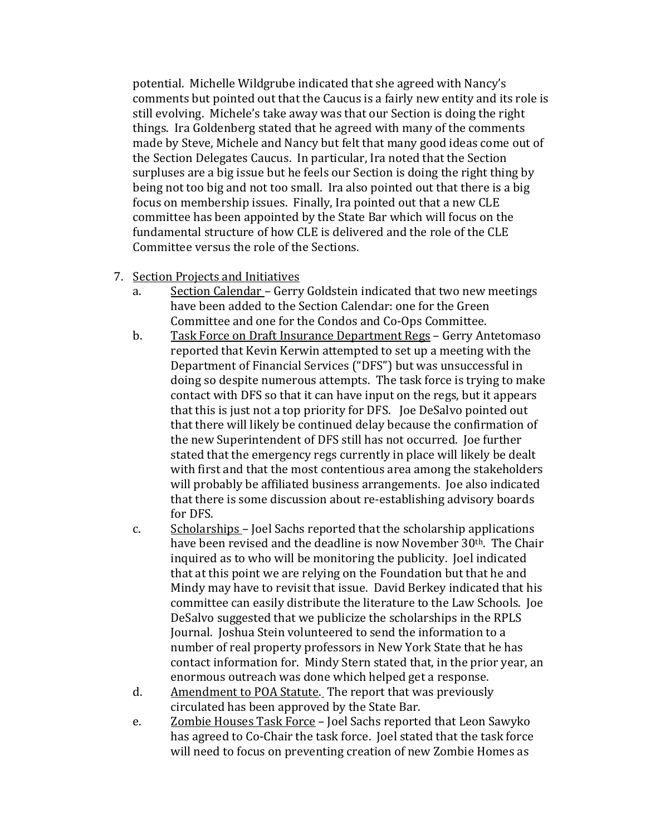potential. Michelle Wildgrube indicated that she agreed with Nancy's comments but pointed out that the Caucus is a fairly new entity and its role is still evolving. Michele's take away was that our Section is doing the right things. Ira Goldenberg stated that he agreed with many of the comments made by Steve, Michele and Nancy but felt that many good ideas come out of the Section Delegates Caucus. In particular, Ira noted that the Section surpluses are a big issue but he feels our Section is doing the right thing by being not too big and not too small. Ira also pointed out that there is a big focus on membership issues. Finally, Ira pointed out that a new CLE committee has been appointed by the State Bar which will focus on the fundamental structure of how CLE is delivered and the role of the CLE Committee versus the role of the Sections.

- 7. Section Projects and Initiatives<br>a. Section Calendar Gerry
	- Section Calendar Gerry Goldstein indicated that two new meetings have been added to the Section Calendar: one for the Green Committee and one for the Condos and Co-Ops Committee.
	- b. Task Force on Draft Insurance Department Regs Gerry Antetomaso reported that Kevin Kerwin attempted to set up a meeting with the Department of Financial Services ("DFS") but was unsuccessful in doing so despite numerous attempts. The task force is trying to make contact with DFS so that it can have input on the regs, but it appears that this is just not a top priority for DFS. Joe DeSalvo pointed out that there will likely be continued delay because the confirmation of the new Superintendent of DFS still has not occurred. Joe further stated that the emergency regs currently in place will likely be dealt with first and that the most contentious area among the stakeholders will probably be affiliated business arrangements. Joe also indicated that there is some discussion about re-establishing advisory boards for DFS.
	- c. Scholarships Joel Sachs reported that the scholarship applications have been revised and the deadline is now November 30<sup>th</sup>. The Chair inquired as to who will be monitoring the publicity. Joel indicated that at this point we are relying on the Foundation but that he and Mindy may have to revisit that issue. David Berkey indicated that his committee can easily distribute the literature to the Law Schools. Joe DeSalvo suggested that we publicize the scholarships in the RPLS Journal. Joshua Stein volunteered to send the information to a number of real property professors in New York State that he has contact information for. Mindy Stern stated that, in the prior year, an enormous outreach was done which helped get a response.
	- d. Amendment to POA Statute. The report that was previously circulated has been approved by the State Bar.
	- e. Zombie Houses Task Force Joel Sachs reported that Leon Sawyko has agreed to Co-Chair the task force. Joel stated that the task force will need to focus on preventing creation of new Zombie Homes as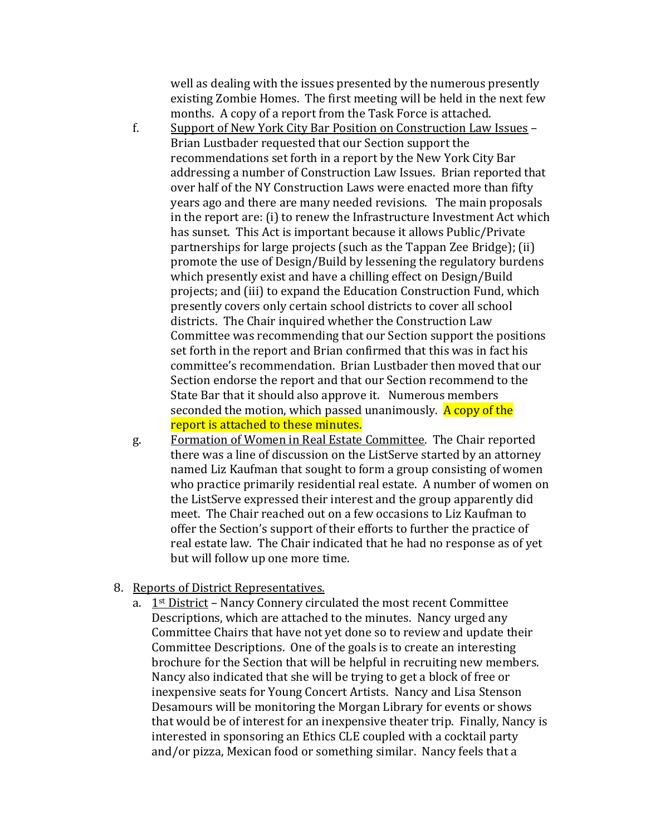well as dealing with the issues presented by the numerous presently existing Zombie Homes. The first meeting will be held in the next few months. A copy of a report from the Task Force is attached.

- f. Support of New York City Bar Position on Construction Law Issues Brian Lustbader requested that our Section support the recommendations set forth in a report by the New York City Bar addressing a number of Construction Law Issues. Brian reported that over half of the NY Construction Laws were enacted more than fifty years ago and there are many needed revisions. The main proposals in the report are: (i) to renew the Infrastructure Investment Act which has sunset. This Act is important because it allows Public/Private partnerships for large projects (such as the Tappan Zee Bridge); (ii) promote the use of Design/Build by lessening the regulatory burdens which presently exist and have a chilling effect on Design/Build projects; and (iii) to expand the Education Construction Fund, which presently covers only certain school districts to cover all school districts. The Chair inquired whether the Construction Law Committee was recommending that our Section support the positions set forth in the report and Brian confirmed that this was in fact his committee's recommendation. Brian Lustbader then moved that our Section endorse the report and that our Section recommend to the State Bar that it should also approve it. Numerous members seconded the motion, which passed unanimously. A copy of the report is attached to these minutes.
- g. Formation of Women in Real Estate Committee. The Chair reported there was a line of discussion on the ListServe started by an attorney named Liz Kaufman that sought to form a group consisting of women who practice primarily residential real estate. A number of women on the ListServe expressed their interest and the group apparently did meet. The Chair reached out on a few occasions to Liz Kaufman to offer the Section's support of their efforts to further the practice of real estate law. The Chair indicated that he had no response as of yet but will follow up one more time.
- 8. Reports of District Representatives.
	- a.  $1<sup>st</sup> District Nancy Connery circulated the most recent Committee$ Descriptions, which are attached to the minutes. Nancy urged any Committee Chairs that have not yet done so to review and update their Committee Descriptions. One of the goals is to create an interesting brochure for the Section that will be helpful in recruiting new members. Nancy also indicated that she will be trying to get a block of free or inexpensive seats for Young Concert Artists. Nancy and Lisa Stenson Desamours will be monitoring the Morgan Library for events or shows that would be of interest for an inexpensive theater trip. Finally, Nancy is interested in sponsoring an Ethics CLE coupled with a cocktail party and/or pizza, Mexican food or something similar. Nancy feels that a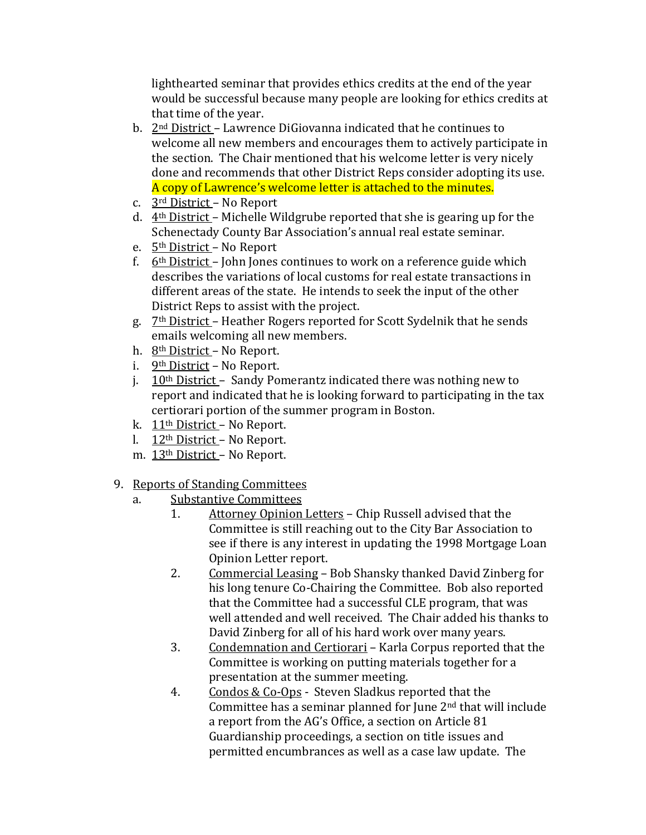lighthearted seminar that provides ethics credits at the end of the year would be successful because many people are looking for ethics credits at that time of the year.

- b. 2nd District Lawrence DiGiovanna indicated that he continues to welcome all new members and encourages them to actively participate in the section. The Chair mentioned that his welcome letter is very nicely done and recommends that other District Reps consider adopting its use. A copy of Lawrence's welcome letter is attached to the minutes.
- c. 3rd District No Report
- d. 4th District Michelle Wildgrube reported that she is gearing up for the Schenectady County Bar Association's annual real estate seminar.
- e. 5th District No Report
- f.  $6<sup>th</sup> District John Jones continues to work on a reference guide which$ describes the variations of local customs for real estate transactions in different areas of the state. He intends to seek the input of the other District Reps to assist with the project.
- g. 7th District Heather Rogers reported for Scott Sydelnik that he sends emails welcoming all new members.
- h. 8th District No Report.
- i. 9th District No Report.
- j.  $10<sup>th</sup>$  District Sandy Pomerantz indicated there was nothing new to report and indicated that he is looking forward to participating in the tax certiorari portion of the summer program in Boston.
- k. 11th District No Report.
- l. 12th District No Report.
- m. 13th District No Report.
- 9. Reports of Standing Committees<br>a. Substantive Committees
	- Substantive Committees<br>1. Attorney Opinion
		- Attorney Opinion Letters Chip Russell advised that the Committee is still reaching out to the City Bar Association to see if there is any interest in updating the 1998 Mortgage Loan Opinion Letter report.
		- 2. Commercial Leasing Bob Shansky thanked David Zinberg for his long tenure Co-Chairing the Committee. Bob also reported that the Committee had a successful CLE program, that was well attended and well received. The Chair added his thanks to David Zinberg for all of his hard work over many years.
		- 3. Condemnation and Certiorari Karla Corpus reported that the Committee is working on putting materials together for a presentation at the summer meeting.
		- 4. Condos & Co-Ops Steven Sladkus reported that the Committee has a seminar planned for June 2nd that will include a report from the AG's Office, a section on Article 81 Guardianship proceedings, a section on title issues and permitted encumbrances as well as a case law update. The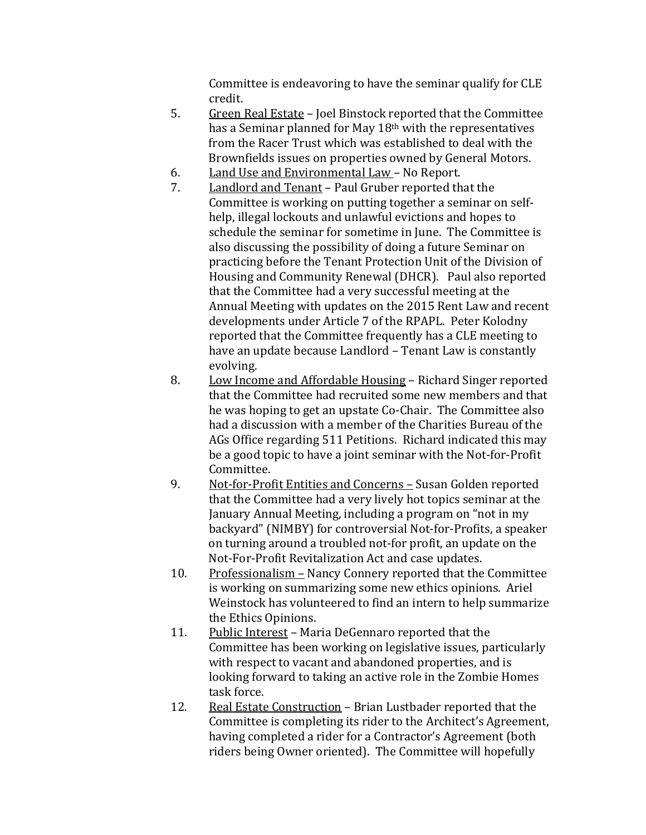Committee is endeavoring to have the seminar qualify for CLE credit.

- 5. Green Real Estate Joel Binstock reported that the Committee has a Seminar planned for May 18th with the representatives from the Racer Trust which was established to deal with the Brownfields issues on properties owned by General Motors.
- 6. Land Use and Environmental Law No Report.<br>7. Landlord and Tenant Paul Gruber reported th
- Landlord and Tenant Paul Gruber reported that the Committee is working on putting together a seminar on selfhelp, illegal lockouts and unlawful evictions and hopes to schedule the seminar for sometime in June. The Committee is also discussing the possibility of doing a future Seminar on practicing before the Tenant Protection Unit of the Division of Housing and Community Renewal (DHCR). Paul also reported that the Committee had a very successful meeting at the Annual Meeting with updates on the 2015 Rent Law and recent developments under Article 7 of the RPAPL. Peter Kolodny reported that the Committee frequently has a CLE meeting to have an update because Landlord – Tenant Law is constantly evolving.
- 8. Low Income and Affordable Housing Richard Singer reported that the Committee had recruited some new members and that he was hoping to get an upstate Co-Chair. The Committee also had a discussion with a member of the Charities Bureau of the AGs Office regarding 511 Petitions. Richard indicated this may be a good topic to have a joint seminar with the Not-for-Profit Committee.
- 9. Not-for-Profit Entities and Concerns Susan Golden reported that the Committee had a very lively hot topics seminar at the January Annual Meeting, including a program on "not in my backyard" (NIMBY) for controversial Not-for-Profits, a speaker on turning around a troubled not-for profit, an update on the Not-For-Profit Revitalization Act and case updates.
- 10. Professionalism Nancy Connery reported that the Committee is working on summarizing some new ethics opinions. Ariel Weinstock has volunteered to find an intern to help summarize the Ethics Opinions.
- 11. Public Interest Maria DeGennaro reported that the Committee has been working on legislative issues, particularly with respect to vacant and abandoned properties, and is looking forward to taking an active role in the Zombie Homes task force.
- 12. Real Estate Construction Brian Lustbader reported that the Committee is completing its rider to the Architect's Agreement, having completed a rider for a Contractor's Agreement (both riders being Owner oriented). The Committee will hopefully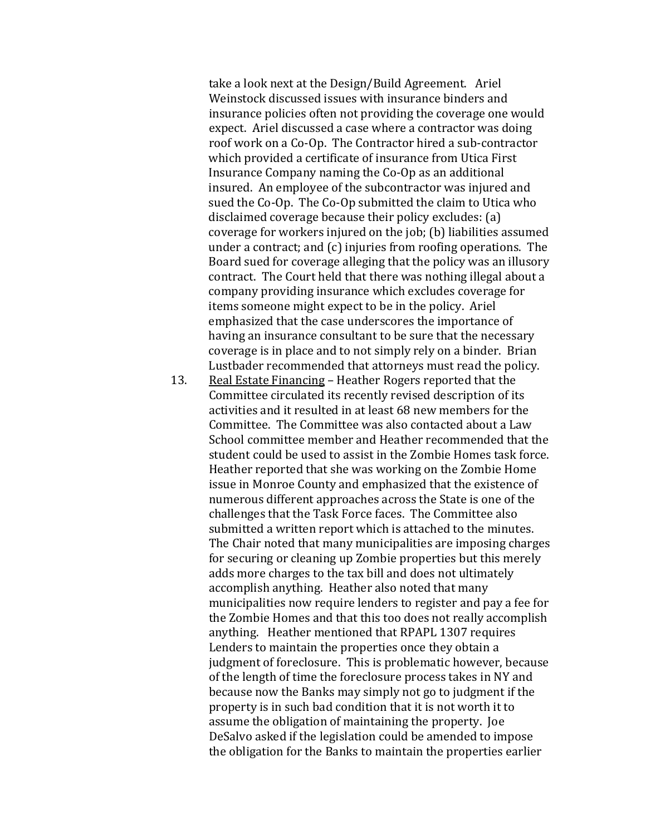take a look next at the Design/Build Agreement. Ariel Weinstock discussed issues with insurance binders and insurance policies often not providing the coverage one would expect. Ariel discussed a case where a contractor was doing roof work on a Co-Op. The Contractor hired a sub-contractor which provided a certificate of insurance from Utica First Insurance Company naming the Co-Op as an additional insured. An employee of the subcontractor was injured and sued the Co-Op. The Co-Op submitted the claim to Utica who disclaimed coverage because their policy excludes: (a) coverage for workers injured on the job; (b) liabilities assumed under a contract; and (c) injuries from roofing operations. The Board sued for coverage alleging that the policy was an illusory contract. The Court held that there was nothing illegal about a company providing insurance which excludes coverage for items someone might expect to be in the policy. Ariel emphasized that the case underscores the importance of having an insurance consultant to be sure that the necessary coverage is in place and to not simply rely on a binder. Brian Lustbader recommended that attorneys must read the policy.

13. Real Estate Financing – Heather Rogers reported that the Committee circulated its recently revised description of its activities and it resulted in at least 68 new members for the Committee. The Committee was also contacted about a Law School committee member and Heather recommended that the student could be used to assist in the Zombie Homes task force. Heather reported that she was working on the Zombie Home issue in Monroe County and emphasized that the existence of numerous different approaches across the State is one of the challenges that the Task Force faces. The Committee also submitted a written report which is attached to the minutes. The Chair noted that many municipalities are imposing charges for securing or cleaning up Zombie properties but this merely adds more charges to the tax bill and does not ultimately accomplish anything. Heather also noted that many municipalities now require lenders to register and pay a fee for the Zombie Homes and that this too does not really accomplish anything. Heather mentioned that RPAPL 1307 requires Lenders to maintain the properties once they obtain a judgment of foreclosure. This is problematic however, because of the length of time the foreclosure process takes in NY and because now the Banks may simply not go to judgment if the property is in such bad condition that it is not worth it to assume the obligation of maintaining the property. Joe DeSalvo asked if the legislation could be amended to impose the obligation for the Banks to maintain the properties earlier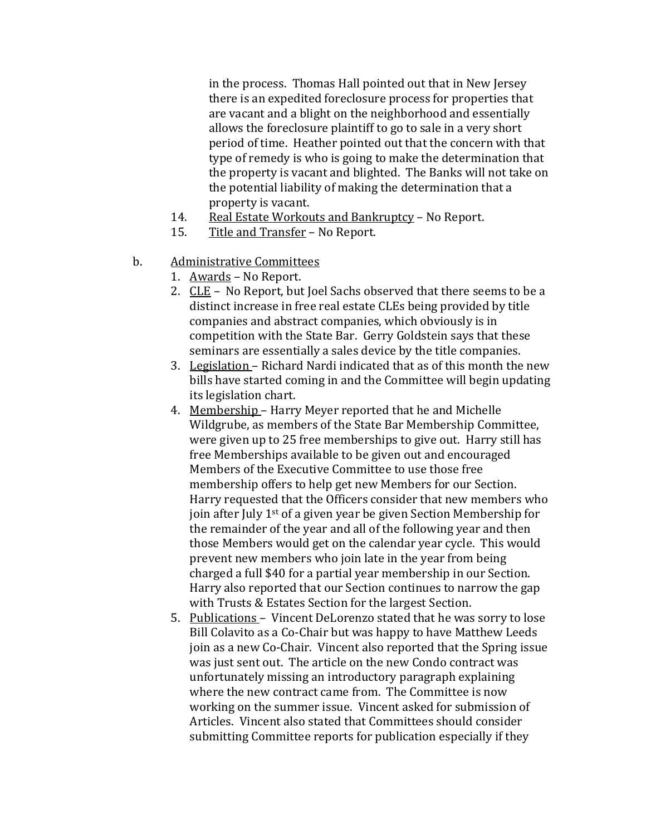in the process. Thomas Hall pointed out that in New Jersey there is an expedited foreclosure process for properties that are vacant and a blight on the neighborhood and essentially allows the foreclosure plaintiff to go to sale in a very short period of time. Heather pointed out that the concern with that type of remedy is who is going to make the determination that the property is vacant and blighted. The Banks will not take on the potential liability of making the determination that a property is vacant.

- 14. Real Estate Workouts and Bankruptcy No Report.<br>15. Title and Transfer No Report.
- Title and Transfer No Report.
- b. Administrative Committees
	- 1. Awards No Report.
	- 2. CLE No Report, but Joel Sachs observed that there seems to be a distinct increase in free real estate CLEs being provided by title companies and abstract companies, which obviously is in competition with the State Bar. Gerry Goldstein says that these seminars are essentially a sales device by the title companies.
	- 3. Legislation Richard Nardi indicated that as of this month the new bills have started coming in and the Committee will begin updating its legislation chart.
	- 4. Membership Harry Meyer reported that he and Michelle Wildgrube, as members of the State Bar Membership Committee, were given up to 25 free memberships to give out. Harry still has free Memberships available to be given out and encouraged Members of the Executive Committee to use those free membership offers to help get new Members for our Section. Harry requested that the Officers consider that new members who join after July 1<sup>st</sup> of a given year be given Section Membership for the remainder of the year and all of the following year and then those Members would get on the calendar year cycle. This would prevent new members who join late in the year from being charged a full \$40 for a partial year membership in our Section. Harry also reported that our Section continues to narrow the gap with Trusts & Estates Section for the largest Section.
	- 5. Publications Vincent DeLorenzo stated that he was sorry to lose Bill Colavito as a Co-Chair but was happy to have Matthew Leeds join as a new Co-Chair. Vincent also reported that the Spring issue was just sent out. The article on the new Condo contract was unfortunately missing an introductory paragraph explaining where the new contract came from. The Committee is now working on the summer issue. Vincent asked for submission of Articles. Vincent also stated that Committees should consider submitting Committee reports for publication especially if they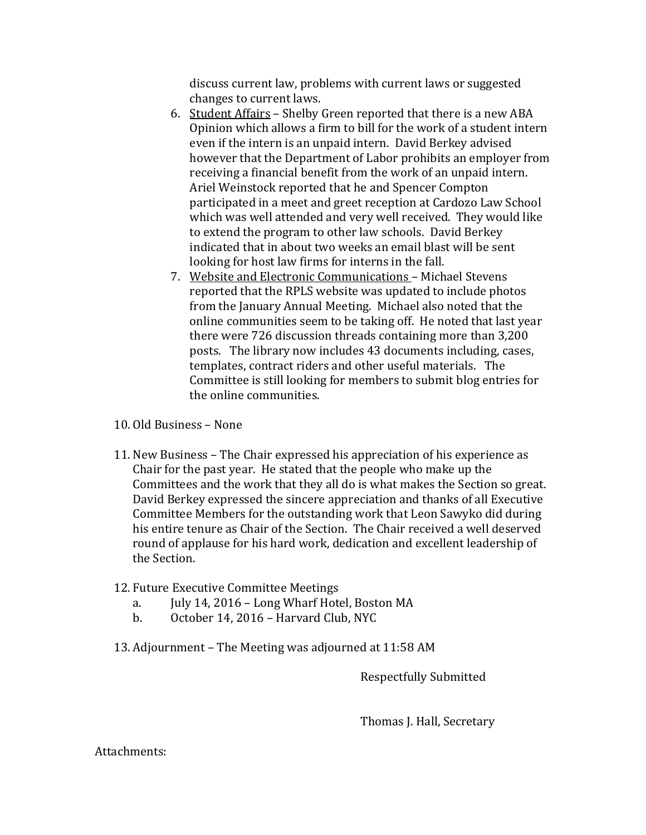discuss current law, problems with current laws or suggested changes to current laws.

- 6. Student Affairs Shelby Green reported that there is a new ABA Opinion which allows a firm to bill for the work of a student intern even if the intern is an unpaid intern. David Berkey advised however that the Department of Labor prohibits an employer from receiving a financial benefit from the work of an unpaid intern. Ariel Weinstock reported that he and Spencer Compton participated in a meet and greet reception at Cardozo Law School which was well attended and very well received. They would like to extend the program to other law schools. David Berkey indicated that in about two weeks an email blast will be sent looking for host law firms for interns in the fall.
- 7. Website and Electronic Communications Michael Stevens reported that the RPLS website was updated to include photos from the January Annual Meeting. Michael also noted that the online communities seem to be taking off. He noted that last year there were 726 discussion threads containing more than 3,200 posts. The library now includes 43 documents including, cases, templates, contract riders and other useful materials. The Committee is still looking for members to submit blog entries for the online communities.
- 10. Old Business None
- 11. New Business The Chair expressed his appreciation of his experience as Chair for the past year. He stated that the people who make up the Committees and the work that they all do is what makes the Section so great. David Berkey expressed the sincere appreciation and thanks of all Executive Committee Members for the outstanding work that Leon Sawyko did during his entire tenure as Chair of the Section. The Chair received a well deserved round of applause for his hard work, dedication and excellent leadership of the Section.
- 12. Future Executive Committee Meetings<br>a. July 14, 2016 Long Wharf Hote
	- a. July 14, 2016 Long Wharf Hotel, Boston MA<br>b. October 14, 2016 Harvard Club, NYC
	- b. October 14, 2016 Harvard Club, NYC
- 13. Adjournment The Meeting was adjourned at 11:58 AM

Respectfully Submitted

Thomas J. Hall, Secretary

Attachments: